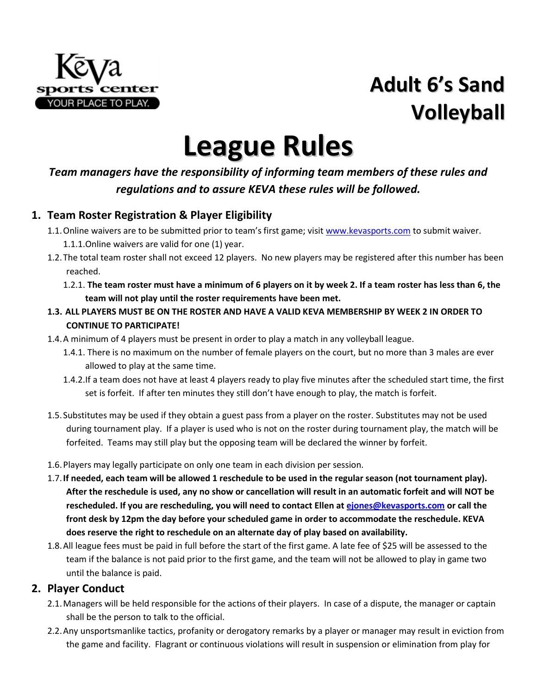

## **Adult 6's Sand Volleyball**

# **League Rules**

#### *Team managers have the responsibility of informing team members of these rules and regulations and to assure KEVA these rules will be followed.*

#### **1. Team Roster Registration & Player Eligibility**

- 1.1.Online waivers are to be submitted prior to team's first game; visit [www.kevasports.com](http://www.kevasports.com/) to submit waiver. 1.1.1.Online waivers are valid for one (1) year.
- 1.2.The total team roster shall not exceed 12 players. No new players may be registered after this number has been reached.
	- 1.2.1. **The team roster must have a minimum of 6 players on it by week 2. If a team roster has less than 6, the team will not play until the roster requirements have been met.**
- **1.3. ALL PLAYERS MUST BE ON THE ROSTER AND HAVE A VALID KEVA MEMBERSHIP BY WEEK 2 IN ORDER TO CONTINUE TO PARTICIPATE!**
- 1.4.A minimum of 4 players must be present in order to play a match in any volleyball league.
	- 1.4.1. There is no maximum on the number of female players on the court, but no more than 3 males are ever allowed to play at the same time.
	- 1.4.2.If a team does not have at least 4 players ready to play five minutes after the scheduled start time, the first set is forfeit. If after ten minutes they still don't have enough to play, the match is forfeit.
- 1.5.Substitutes may be used if they obtain a guest pass from a player on the roster. Substitutes may not be used during tournament play. If a player is used who is not on the roster during tournament play, the match will be forfeited. Teams may still play but the opposing team will be declared the winner by forfeit.
- 1.6.Players may legally participate on only one team in each division per session.
- 1.7.**If needed, each team will be allowed 1 reschedule to be used in the regular season (not tournament play). After the reschedule is used, any no show or cancellation will result in an automatic forfeit and will NOT be rescheduled. If you are rescheduling, you will need to contact Ellen at [ejones@kevasports.com](mailto:ejones@kevasports.com) or call the front desk by 12pm the day before your scheduled game in order to accommodate the reschedule. KEVA does reserve the right to reschedule on an alternate day of play based on availability.**
- 1.8.All league fees must be paid in full before the start of the first game. A late fee of \$25 will be assessed to the team if the balance is not paid prior to the first game, and the team will not be allowed to play in game two until the balance is paid.

#### **2. Player Conduct**

- 2.1.Managers will be held responsible for the actions of their players. In case of a dispute, the manager or captain shall be the person to talk to the official.
- 2.2.Any unsportsmanlike tactics, profanity or derogatory remarks by a player or manager may result in eviction from the game and facility. Flagrant or continuous violations will result in suspension or elimination from play for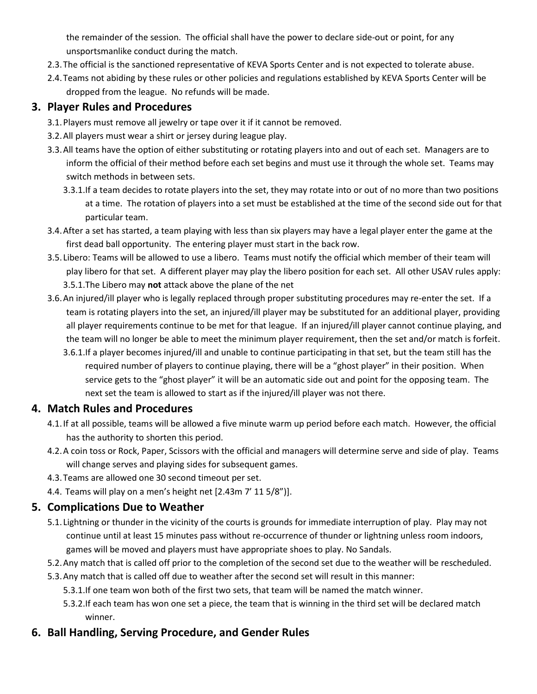the remainder of the session. The official shall have the power to declare side-out or point, for any unsportsmanlike conduct during the match.

- 2.3.The official is the sanctioned representative of KEVA Sports Center and is not expected to tolerate abuse.
- 2.4.Teams not abiding by these rules or other policies and regulations established by KEVA Sports Center will be dropped from the league. No refunds will be made.

#### **3. Player Rules and Procedures**

- 3.1.Players must remove all jewelry or tape over it if it cannot be removed.
- 3.2.All players must wear a shirt or jersey during league play.
- 3.3.All teams have the option of either substituting or rotating players into and out of each set. Managers are to inform the official of their method before each set begins and must use it through the whole set. Teams may switch methods in between sets.
	- 3.3.1.If a team decides to rotate players into the set, they may rotate into or out of no more than two positions at a time. The rotation of players into a set must be established at the time of the second side out for that particular team.
- 3.4.After a set has started, a team playing with less than six players may have a legal player enter the game at the first dead ball opportunity. The entering player must start in the back row.
- 3.5. Libero: Teams will be allowed to use a libero. Teams must notify the official which member of their team will play libero for that set. A different player may play the libero position for each set. All other USAV rules apply: 3.5.1.The Libero may **not** attack above the plane of the net
- 3.6.An injured/ill player who is legally replaced through proper substituting procedures may re-enter the set. If a team is rotating players into the set, an injured/ill player may be substituted for an additional player, providing all player requirements continue to be met for that league. If an injured/ill player cannot continue playing, and the team will no longer be able to meet the minimum player requirement, then the set and/or match is forfeit.
	- 3.6.1.If a player becomes injured/ill and unable to continue participating in that set, but the team still has the required number of players to continue playing, there will be a "ghost player" in their position. When service gets to the "ghost player" it will be an automatic side out and point for the opposing team. The next set the team is allowed to start as if the injured/ill player was not there.

#### **4. Match Rules and Procedures**

- 4.1.If at all possible, teams will be allowed a five minute warm up period before each match. However, the official has the authority to shorten this period.
- 4.2.A coin toss or Rock, Paper, Scissors with the official and managers will determine serve and side of play. Teams will change serves and playing sides for subsequent games.
- 4.3.Teams are allowed one 30 second timeout per set.
- 4.4. Teams will play on a men's height net [2.43m 7' 11 5/8")].

#### **5. Complications Due to Weather**

- 5.1. Lightning or thunder in the vicinity of the courts is grounds for immediate interruption of play. Play may not continue until at least 15 minutes pass without re-occurrence of thunder or lightning unless room indoors, games will be moved and players must have appropriate shoes to play. No Sandals.
- 5.2.Any match that is called off prior to the completion of the second set due to the weather will be rescheduled.
- 5.3.Any match that is called off due to weather after the second set will result in this manner:
	- 5.3.1.If one team won both of the first two sets, that team will be named the match winner.
	- 5.3.2.If each team has won one set a piece, the team that is winning in the third set will be declared match winner.

#### **6. Ball Handling, Serving Procedure, and Gender Rules**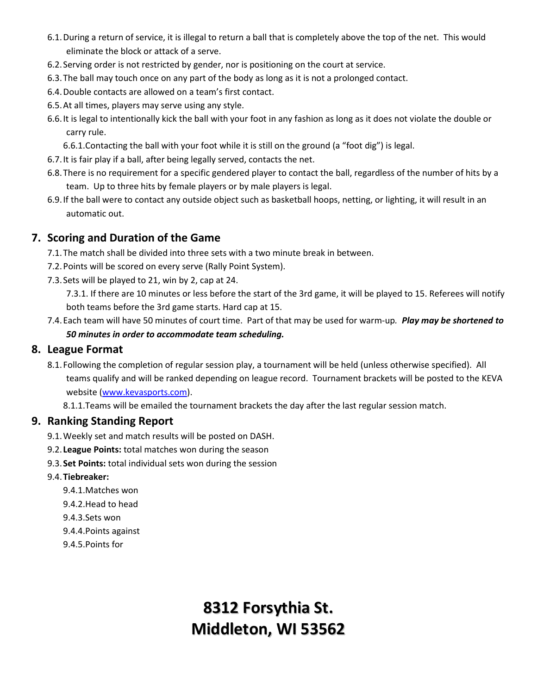- 6.1.During a return of service, it is illegal to return a ball that is completely above the top of the net. This would eliminate the block or attack of a serve.
- 6.2.Serving order is not restricted by gender, nor is positioning on the court at service.
- 6.3.The ball may touch once on any part of the body as long as it is not a prolonged contact.
- 6.4.Double contacts are allowed on a team's first contact.
- 6.5.At all times, players may serve using any style.
- 6.6.It is legal to intentionally kick the ball with your foot in any fashion as long as it does not violate the double or carry rule.

6.6.1.Contacting the ball with your foot while it is still on the ground (a "foot dig") is legal.

- 6.7.It is fair play if a ball, after being legally served, contacts the net.
- 6.8.There is no requirement for a specific gendered player to contact the ball, regardless of the number of hits by a team. Up to three hits by female players or by male players is legal.
- 6.9.If the ball were to contact any outside object such as basketball hoops, netting, or lighting, it will result in an automatic out.

#### **7. Scoring and Duration of the Game**

- 7.1.The match shall be divided into three sets with a two minute break in between.
- 7.2.Points will be scored on every serve (Rally Point System).
- 7.3.Sets will be played to 21, win by 2, cap at 24.

7.3.1. If there are 10 minutes or less before the start of the 3rd game, it will be played to 15. Referees will notify both teams before the 3rd game starts. Hard cap at 15.

7.4.Each team will have 50 minutes of court time. Part of that may be used for warm-up*. Play may be shortened to 50 minutes in order to accommodate team scheduling.*

#### **8. League Format**

8.1.Following the completion of regular session play, a tournament will be held (unless otherwise specified). All teams qualify and will be ranked depending on league record. Tournament brackets will be posted to the KEVA website [\(www.kevasports.com\)](http://www.kevasports.com/).

8.1.1.Teams will be emailed the tournament brackets the day after the last regular session match.

#### **9. Ranking Standing Report**

- 9.1.Weekly set and match results will be posted on DASH.
- 9.2. **League Points:** total matches won during the season
- 9.3.**Set Points:** total individual sets won during the session
- 9.4.**Tiebreaker:**
	- 9.4.1.Matches won
	- 9.4.2.Head to head
	- 9.4.3.Sets won
	- 9.4.4.Points against
	- 9.4.5.Points for

## **8312 Forsythia St. Middleton, WI 53562**